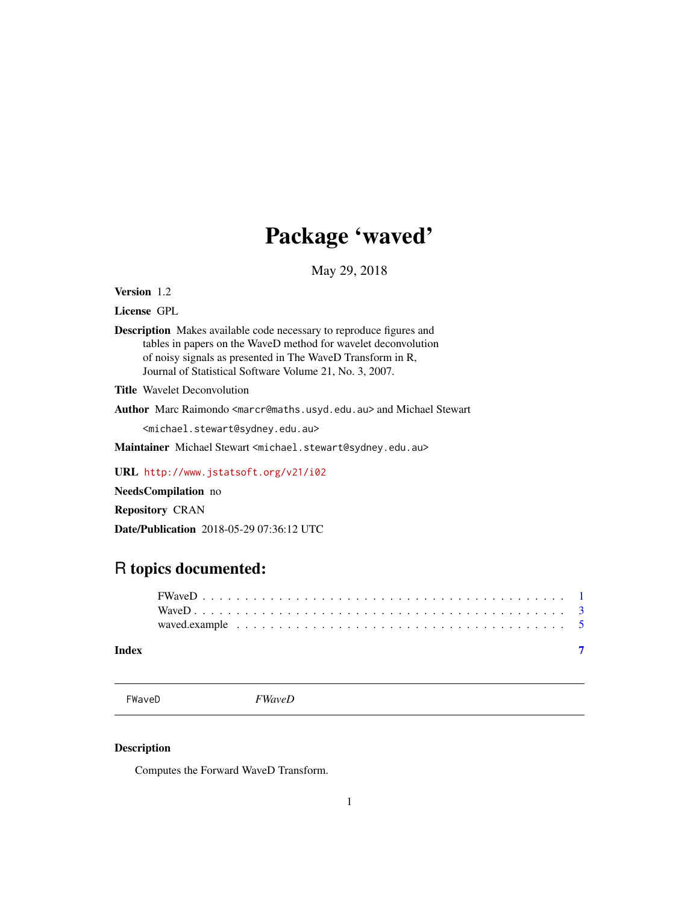## Package 'waved'

May 29, 2018

<span id="page-0-0"></span>Version 1.2

License GPL

Description Makes available code necessary to reproduce figures and tables in papers on the WaveD method for wavelet deconvolution of noisy signals as presented in The WaveD Transform in R, Journal of Statistical Software Volume 21, No. 3, 2007.

Title Wavelet Deconvolution

Author Marc Raimondo <marcr@maths.usyd.edu.au> and Michael Stewart

<michael.stewart@sydney.edu.au>

Maintainer Michael Stewart <michael.stewart@sydney.edu.au>

URL <http://www.jstatsoft.org/v21/i02>

NeedsCompilation no

Repository CRAN

Date/Publication 2018-05-29 07:36:12 UTC

## R topics documented:

#### **Index** [7](#page-6-0) **7**

<span id="page-0-1"></span>FWaveD *FWaveD*

#### Description

Computes the Forward WaveD Transform.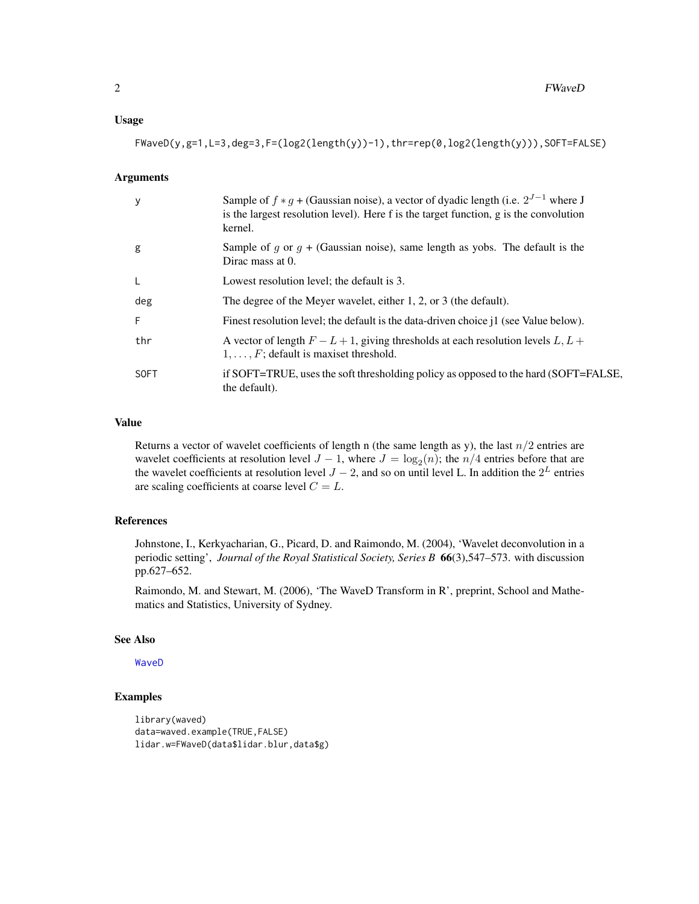#### <span id="page-1-0"></span>Usage

 $FWaveD(y, g=1, L=3, deg=3, F=(log2(length(y))-1), thr=rep(0, log2(length(y))), SOF=FALSE)$ 

#### Arguments

| y           | Sample of $f * g +$ (Gaussian noise), a vector of dyadic length (i.e. $2^{J-1}$ where J<br>is the largest resolution level). Here f is the target function, g is the convolution<br>kernel. |
|-------------|---------------------------------------------------------------------------------------------------------------------------------------------------------------------------------------------|
| g           | Sample of g or $g +$ (Gaussian noise), same length as yobs. The default is the<br>Dirac mass at 0.                                                                                          |
|             | Lowest resolution level; the default is 3.                                                                                                                                                  |
| deg         | The degree of the Meyer wavelet, either 1, 2, or 3 (the default).                                                                                                                           |
| F           | Finest resolution level; the default is the data-driven choice j1 (see Value below).                                                                                                        |
| thr         | A vector of length $F - L + 1$ , giving thresholds at each resolution levels $L, L +$<br>$1, \ldots, F$ ; default is maxiset threshold.                                                     |
| <b>SOFT</b> | if SOFT=TRUE, uses the soft thresholding policy as opposed to the hard (SOFT=FALSE,<br>the default).                                                                                        |

#### Value

Returns a vector of wavelet coefficients of length n (the same length as y), the last  $n/2$  entries are wavelet coefficients at resolution level  $J - 1$ , where  $J = \log_2(n)$ ; the  $n/4$  entries before that are the wavelet coefficients at resolution level  $J - 2$ , and so on until level L. In addition the  $2^L$  entries are scaling coefficients at coarse level  $C = L$ .

#### References

Johnstone, I., Kerkyacharian, G., Picard, D. and Raimondo, M. (2004), 'Wavelet deconvolution in a periodic setting', *Journal of the Royal Statistical Society, Series B* 66(3),547–573. with discussion pp.627–652.

Raimondo, M. and Stewart, M. (2006), 'The WaveD Transform in R', preprint, School and Mathematics and Statistics, University of Sydney.

#### See Also

[WaveD](#page-2-1)

#### Examples

```
library(waved)
data=waved.example(TRUE,FALSE)
lidar.w=FWaveD(data$lidar.blur,data$g)
```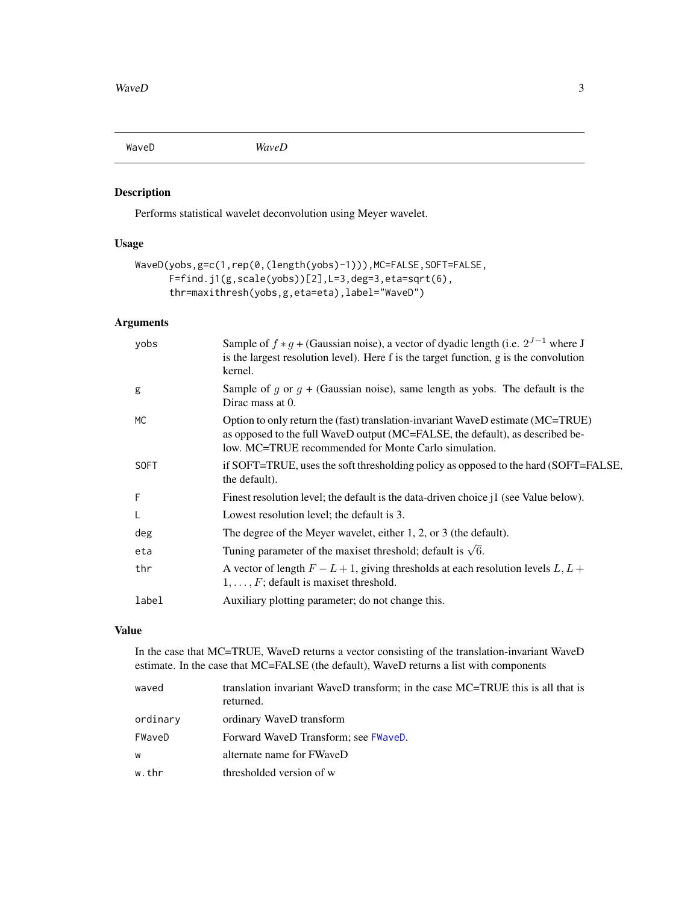<span id="page-2-1"></span><span id="page-2-0"></span>

#### Description

Performs statistical wavelet deconvolution using Meyer wavelet.

#### Usage

```
WaveD(yobs,g=c(1,rep(0,(length(yobs)-1))),MC=FALSE,SOFT=FALSE,
      F=find.j1(g,scale(yobs))[2],L=3,deg=3,eta=sqrt(6),
      thr=maxithresh(yobs,g,eta=eta),label="WaveD")
```
#### Arguments

| yobs        | Sample of $f * g +$ (Gaussian noise), a vector of dyadic length (i.e. $2^{J-1}$ where J<br>is the largest resolution level). Here f is the target function, g is the convolution<br>kernel.                              |
|-------------|--------------------------------------------------------------------------------------------------------------------------------------------------------------------------------------------------------------------------|
| g           | Sample of g or $g +$ (Gaussian noise), same length as yobs. The default is the<br>Dirac mass at 0.                                                                                                                       |
| МC          | Option to only return the (fast) translation-invariant WaveD estimate (MC=TRUE)<br>as opposed to the full WaveD output (MC=FALSE, the default), as described be-<br>low. MC=TRUE recommended for Monte Carlo simulation. |
| <b>SOFT</b> | if SOFT=TRUE, uses the soft thresholding policy as opposed to the hard (SOFT=FALSE,<br>the default).                                                                                                                     |
| F           | Finest resolution level; the default is the data-driven choice j1 (see Value below).                                                                                                                                     |
| L           | Lowest resolution level; the default is 3.                                                                                                                                                                               |
| deg         | The degree of the Meyer wavelet, either 1, 2, or 3 (the default).                                                                                                                                                        |
| eta         | Tuning parameter of the maxiset threshold; default is $\sqrt{6}$ .                                                                                                                                                       |
| thr         | A vector of length $F - L + 1$ , giving thresholds at each resolution levels $L, L +$<br>$1, \ldots, F$ ; default is maxiset threshold.                                                                                  |
| label       | Auxiliary plotting parameter; do not change this.                                                                                                                                                                        |

#### Value

In the case that MC=TRUE, WaveD returns a vector consisting of the translation-invariant WaveD estimate. In the case that MC=FALSE (the default), WaveD returns a list with components

| waved    | translation invariant WaveD transform; in the case MC=TRUE this is all that is<br>returned. |
|----------|---------------------------------------------------------------------------------------------|
| ordinary | ordinary WaveD transform                                                                    |
| FWaveD   | Forward WaveD Transform; see FWaveD.                                                        |
| W        | alternate name for FWaveD                                                                   |
| w.thr    | thresholded version of w                                                                    |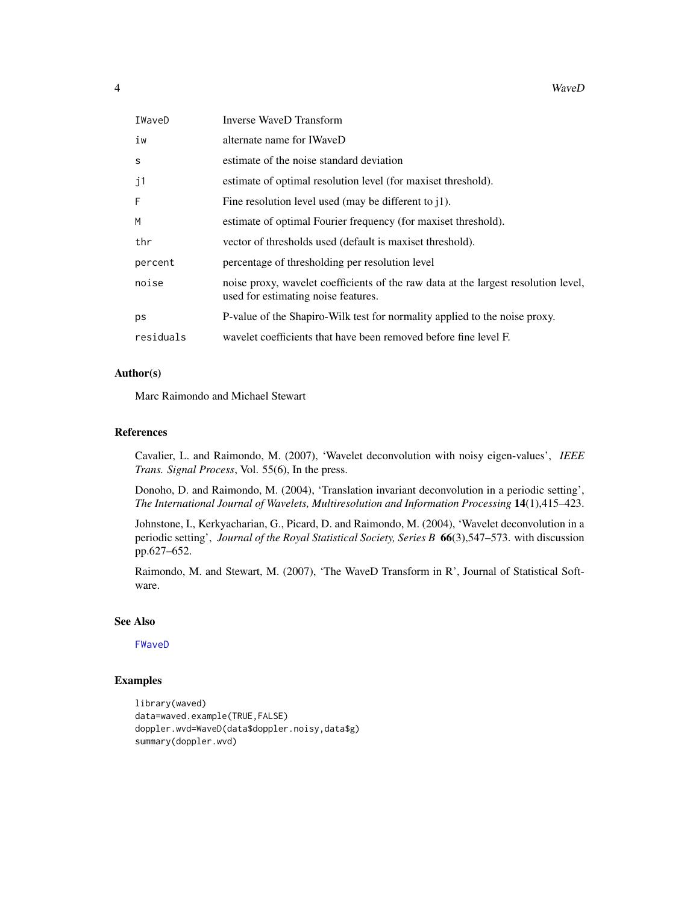<span id="page-3-0"></span>

| 4 | WaveD |
|---|-------|
|---|-------|

| IWaveD    | Inverse WaveD Transform                                                                                                   |
|-----------|---------------------------------------------------------------------------------------------------------------------------|
| iw        | alternate name for IWaveD                                                                                                 |
| S         | estimate of the noise standard deviation                                                                                  |
| j1        | estimate of optimal resolution level (for maxiset threshold).                                                             |
| F         | Fine resolution level used (may be different to $i$ 1).                                                                   |
| M         | estimate of optimal Fourier frequency (for maxiset threshold).                                                            |
| thr       | vector of thresholds used (default is maxiset threshold).                                                                 |
| percent   | percentage of thresholding per resolution level                                                                           |
| noise     | noise proxy, wavelet coefficients of the raw data at the largest resolution level,<br>used for estimating noise features. |
| ps        | P-value of the Shapiro-Wilk test for normality applied to the noise proxy.                                                |
| residuals | wavelet coefficients that have been removed before fine level F.                                                          |

#### Author(s)

Marc Raimondo and Michael Stewart

#### References

Cavalier, L. and Raimondo, M. (2007), 'Wavelet deconvolution with noisy eigen-values', *IEEE Trans. Signal Process*, Vol. 55(6), In the press.

Donoho, D. and Raimondo, M. (2004), 'Translation invariant deconvolution in a periodic setting', *The International Journal of Wavelets, Multiresolution and Information Processing* 14(1),415–423.

Johnstone, I., Kerkyacharian, G., Picard, D. and Raimondo, M. (2004), 'Wavelet deconvolution in a periodic setting', *Journal of the Royal Statistical Society, Series B* 66(3),547–573. with discussion pp.627–652.

Raimondo, M. and Stewart, M. (2007), 'The WaveD Transform in R', Journal of Statistical Software.

#### See Also

[FWaveD](#page-0-1)

#### Examples

```
library(waved)
data=waved.example(TRUE,FALSE)
doppler.wvd=WaveD(data$doppler.noisy,data$g)
summary(doppler.wvd)
```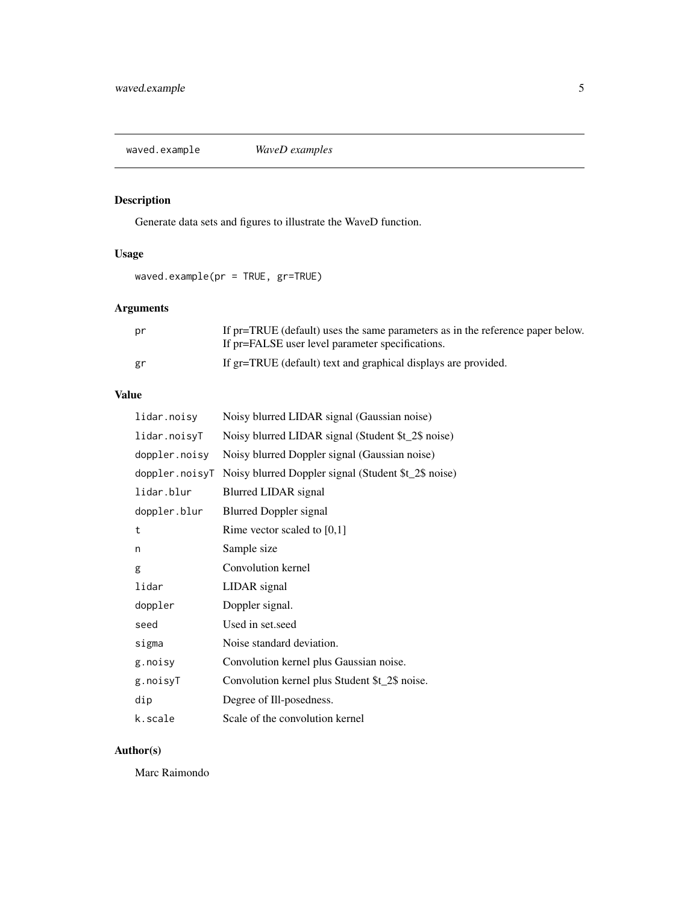<span id="page-4-0"></span>waved.example *WaveD examples*

## Description

Generate data sets and figures to illustrate the WaveD function.

#### Usage

waved.example(pr = TRUE, gr=TRUE)

### Arguments

| pr | If pr=TRUE (default) uses the same parameters as in the reference paper below.<br>If pr=FALSE user level parameter specifications. |
|----|------------------------------------------------------------------------------------------------------------------------------------|
| gr | If gr=TRUE (default) text and graphical displays are provided.                                                                     |

#### Value

| lidar.noisy    | Noisy blurred LIDAR signal (Gaussian noise)          |
|----------------|------------------------------------------------------|
| lidar.noisyT   | Noisy blurred LIDAR signal (Student \$t_2\$ noise)   |
| doppler.noisy  | Noisy blurred Doppler signal (Gaussian noise)        |
| doppler.noisyT | Noisy blurred Doppler signal (Student \$t_2\$ noise) |
| lidar.blur     | Blurred LIDAR signal                                 |
| doppler.blur   | <b>Blurred Doppler signal</b>                        |
| t              | Rime vector scaled to $[0,1]$                        |
| n              | Sample size                                          |
| g              | Convolution kernel                                   |
| lidar          | LIDAR signal                                         |
| doppler        | Doppler signal.                                      |
| seed           | Used in set.seed                                     |
| sigma          | Noise standard deviation.                            |
| g.noisy        | Convolution kernel plus Gaussian noise.              |
| g.noisyT       | Convolution kernel plus Student \$t_2\$ noise.       |
| dip            | Degree of Ill-posedness.                             |
| k.scale        | Scale of the convolution kernel                      |

#### Author(s)

Marc Raimondo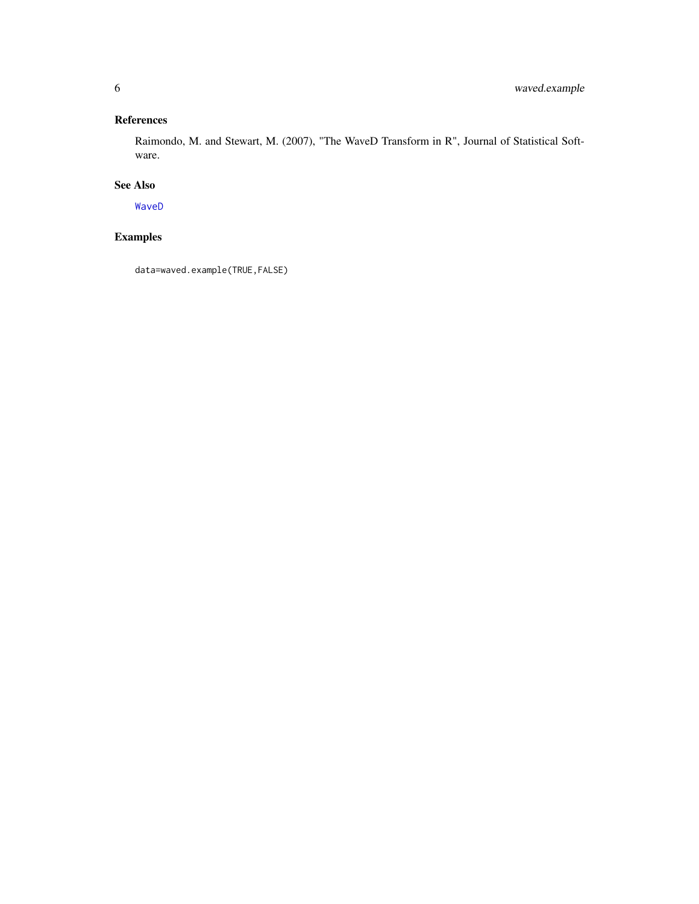#### <span id="page-5-0"></span>References

Raimondo, M. and Stewart, M. (2007), "The WaveD Transform in R", Journal of Statistical Software.

#### See Also

[WaveD](#page-2-1)

## Examples

data=waved.example(TRUE,FALSE)